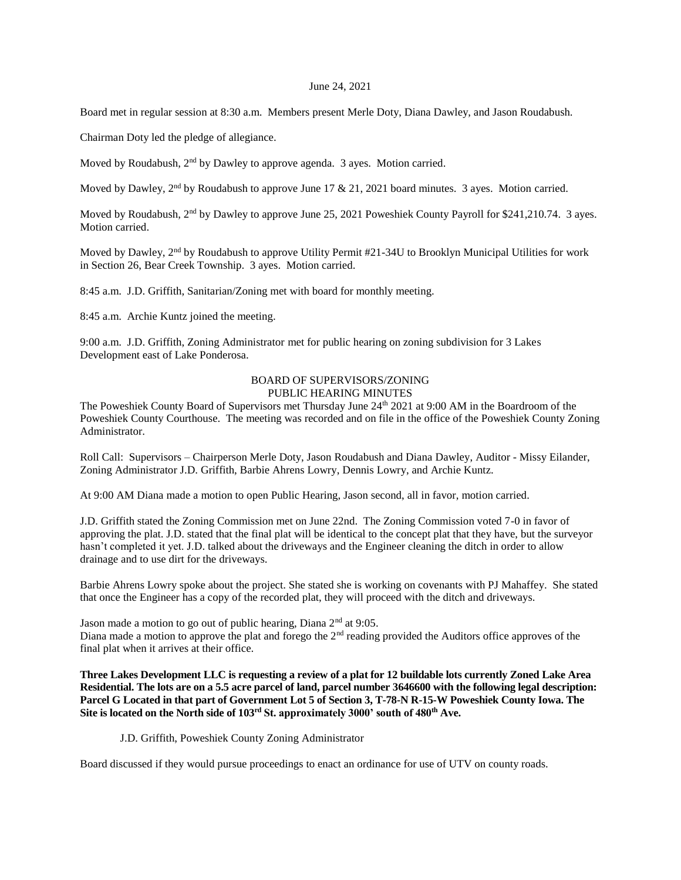## June 24, 2021

Board met in regular session at 8:30 a.m. Members present Merle Doty, Diana Dawley, and Jason Roudabush.

Chairman Doty led the pledge of allegiance.

Moved by Roudabush,  $2<sup>nd</sup>$  by Dawley to approve agenda. 3 ayes. Motion carried.

Moved by Dawley, 2<sup>nd</sup> by Roudabush to approve June 17 & 21, 2021 board minutes. 3 ayes. Motion carried.

Moved by Roudabush, 2<sup>nd</sup> by Dawley to approve June 25, 2021 Poweshiek County Payroll for \$241,210.74. 3 ayes. Motion carried.

Moved by Dawley, 2<sup>nd</sup> by Roudabush to approve Utility Permit #21-34U to Brooklyn Municipal Utilities for work in Section 26, Bear Creek Township. 3 ayes. Motion carried.

8:45 a.m. J.D. Griffith, Sanitarian/Zoning met with board for monthly meeting.

8:45 a.m. Archie Kuntz joined the meeting.

9:00 a.m. J.D. Griffith, Zoning Administrator met for public hearing on zoning subdivision for 3 Lakes Development east of Lake Ponderosa.

#### BOARD OF SUPERVISORS/ZONING PUBLIC HEARING MINUTES

The Poweshiek County Board of Supervisors met Thursday June 24<sup>th</sup> 2021 at 9:00 AM in the Boardroom of the Poweshiek County Courthouse. The meeting was recorded and on file in the office of the Poweshiek County Zoning Administrator.

Roll Call: Supervisors – Chairperson Merle Doty, Jason Roudabush and Diana Dawley, Auditor - Missy Eilander, Zoning Administrator J.D. Griffith, Barbie Ahrens Lowry, Dennis Lowry, and Archie Kuntz.

At 9:00 AM Diana made a motion to open Public Hearing, Jason second, all in favor, motion carried.

J.D. Griffith stated the Zoning Commission met on June 22nd. The Zoning Commission voted 7-0 in favor of approving the plat. J.D. stated that the final plat will be identical to the concept plat that they have, but the surveyor hasn't completed it yet. J.D. talked about the driveways and the Engineer cleaning the ditch in order to allow drainage and to use dirt for the driveways.

Barbie Ahrens Lowry spoke about the project. She stated she is working on covenants with PJ Mahaffey. She stated that once the Engineer has a copy of the recorded plat, they will proceed with the ditch and driveways.

Jason made a motion to go out of public hearing, Diana 2<sup>nd</sup> at 9:05. Diana made a motion to approve the plat and forego the 2<sup>nd</sup> reading provided the Auditors office approves of the final plat when it arrives at their office.

**Three Lakes Development LLC is requesting a review of a plat for 12 buildable lots currently Zoned Lake Area Residential. The lots are on a 5.5 acre parcel of land, parcel number 3646600 with the following legal description: Parcel G Located in that part of Government Lot 5 of Section 3, T-78-N R-15-W Poweshiek County Iowa. The Site is located on the North side of 103rd St. approximately 3000' south of 480th Ave.**

## J.D. Griffith, Poweshiek County Zoning Administrator

Board discussed if they would pursue proceedings to enact an ordinance for use of UTV on county roads.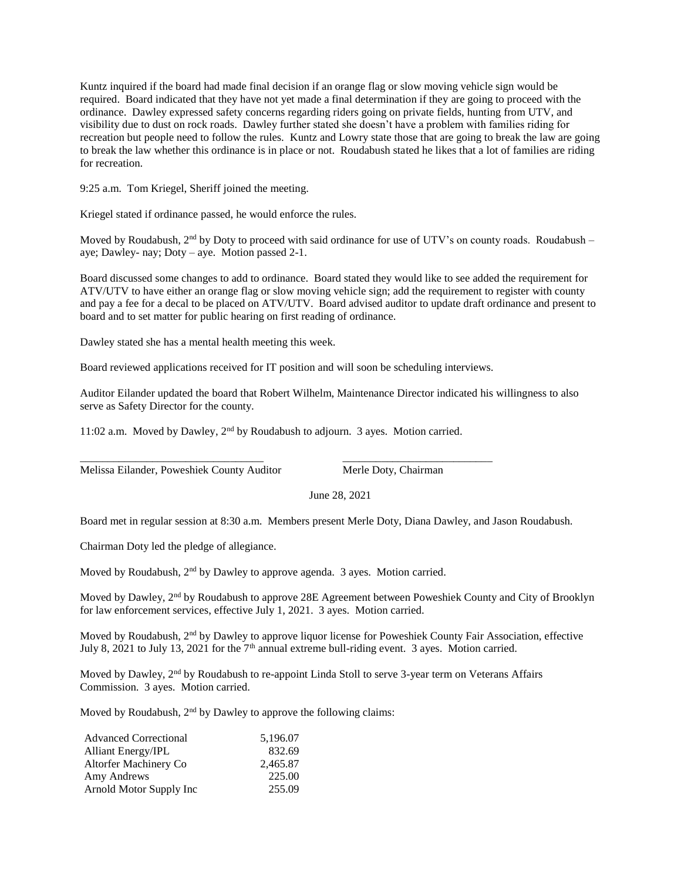Kuntz inquired if the board had made final decision if an orange flag or slow moving vehicle sign would be required. Board indicated that they have not yet made a final determination if they are going to proceed with the ordinance. Dawley expressed safety concerns regarding riders going on private fields, hunting from UTV, and visibility due to dust on rock roads. Dawley further stated she doesn't have a problem with families riding for recreation but people need to follow the rules. Kuntz and Lowry state those that are going to break the law are going to break the law whether this ordinance is in place or not. Roudabush stated he likes that a lot of families are riding for recreation.

9:25 a.m. Tom Kriegel, Sheriff joined the meeting.

Kriegel stated if ordinance passed, he would enforce the rules.

Moved by Roudabush,  $2<sup>nd</sup>$  by Doty to proceed with said ordinance for use of UTV's on county roads. Roudabush – aye; Dawley- nay; Doty – aye. Motion passed 2-1.

Board discussed some changes to add to ordinance. Board stated they would like to see added the requirement for ATV/UTV to have either an orange flag or slow moving vehicle sign; add the requirement to register with county and pay a fee for a decal to be placed on ATV/UTV. Board advised auditor to update draft ordinance and present to board and to set matter for public hearing on first reading of ordinance.

Dawley stated she has a mental health meeting this week.

Board reviewed applications received for IT position and will soon be scheduling interviews.

Auditor Eilander updated the board that Robert Wilhelm, Maintenance Director indicated his willingness to also serve as Safety Director for the county.

11:02 a.m. Moved by Dawley, 2nd by Roudabush to adjourn. 3 ayes. Motion carried.

\_\_\_\_\_\_\_\_\_\_\_\_\_\_\_\_\_\_\_\_\_\_\_\_\_\_\_\_\_\_\_\_\_ \_\_\_\_\_\_\_\_\_\_\_\_\_\_\_\_\_\_\_\_\_\_\_\_\_\_\_ Melissa Eilander, Poweshiek County Auditor Merle Doty, Chairman

June 28, 2021

Board met in regular session at 8:30 a.m. Members present Merle Doty, Diana Dawley, and Jason Roudabush.

Chairman Doty led the pledge of allegiance.

Moved by Roudabush, 2<sup>nd</sup> by Dawley to approve agenda. 3 ayes. Motion carried.

Moved by Dawley, 2<sup>nd</sup> by Roudabush to approve 28E Agreement between Poweshiek County and City of Brooklyn for law enforcement services, effective July 1, 2021. 3 ayes. Motion carried.

Moved by Roudabush, 2<sup>nd</sup> by Dawley to approve liquor license for Poweshiek County Fair Association, effective July 8, 2021 to July 13, 2021 for the  $7<sup>th</sup>$  annual extreme bull-riding event. 3 ayes. Motion carried.

Moved by Dawley, 2<sup>nd</sup> by Roudabush to re-appoint Linda Stoll to serve 3-year term on Veterans Affairs Commission. 3 ayes. Motion carried.

Moved by Roudabush,  $2<sup>nd</sup>$  by Dawley to approve the following claims:

| <b>Advanced Correctional</b> | 5.196.07 |
|------------------------------|----------|
| <b>Alliant Energy/IPL</b>    | 832.69   |
| Altorfer Machinery Co        | 2.465.87 |
| Amy Andrews                  | 225.00   |
| Arnold Motor Supply Inc      | 255.09   |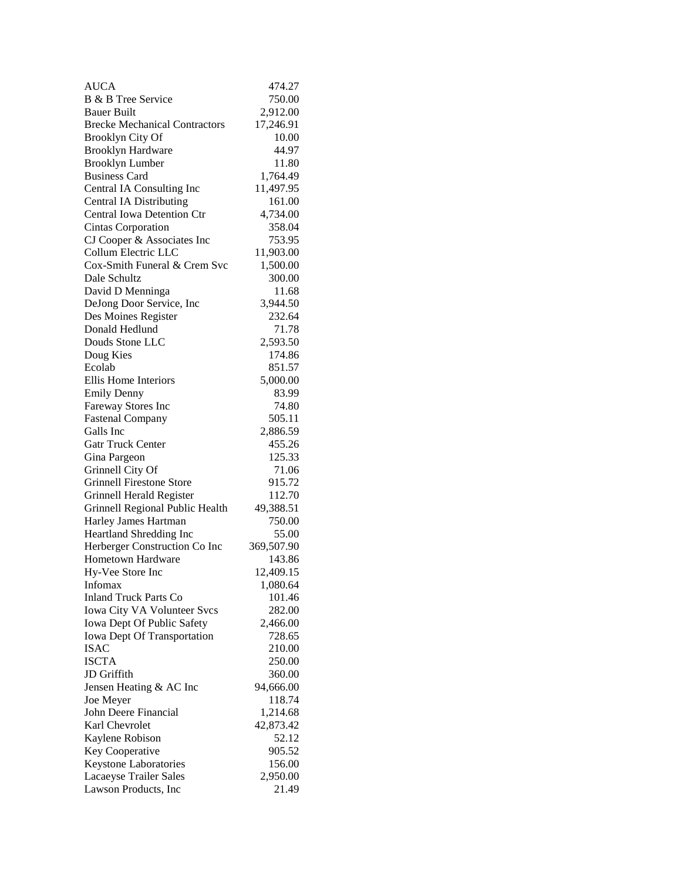| <b>AUCA</b>                          | 474.27     |
|--------------------------------------|------------|
| <b>B</b> & <b>B</b> Tree Service     | 750.00     |
| <b>Bauer Built</b>                   | 2,912.00   |
| <b>Brecke Mechanical Contractors</b> | 17,246.91  |
| Brooklyn City Of                     | 10.00      |
| <b>Brooklyn Hardware</b>             | 44.97      |
| <b>Brooklyn Lumber</b>               | 11.80      |
| <b>Business Card</b>                 | 1,764.49   |
| Central IA Consulting Inc            | 11,497.95  |
| <b>Central IA Distributing</b>       | 161.00     |
| <b>Central Iowa Detention Ctr</b>    | 4,734.00   |
| Cintas Corporation                   | 358.04     |
| CJ Cooper & Associates Inc           | 753.95     |
| Collum Electric LLC                  | 11,903.00  |
| Cox-Smith Funeral & Crem Svc         | 1,500.00   |
| Dale Schultz                         | 300.00     |
| David D Menninga                     | 11.68      |
| DeJong Door Service, Inc             | 3,944.50   |
| Des Moines Register                  | 232.64     |
| Donald Hedlund                       | 71.78      |
| Douds Stone LLC                      | 2,593.50   |
| Doug Kies                            | 174.86     |
| Ecolab                               | 851.57     |
| Ellis Home Interiors                 | 5,000.00   |
| <b>Emily Denny</b>                   | 83.99      |
| Fareway Stores Inc                   | 74.80      |
| <b>Fastenal Company</b>              | 505.11     |
| Galls Inc                            | 2,886.59   |
| <b>Gatr Truck Center</b>             | 455.26     |
| Gina Pargeon                         | 125.33     |
| Grinnell City Of                     | 71.06      |
| <b>Grinnell Firestone Store</b>      | 915.72     |
| Grinnell Herald Register             | 112.70     |
| Grinnell Regional Public Health      | 49,388.51  |
| Harley James Hartman                 | 750.00     |
| Heartland Shredding Inc              | 55.00      |
| Herberger Construction Co Inc        | 369,507.90 |
| Hometown Hardware                    | 143.86     |
| Hy-Vee Store Inc                     | 12,409.15  |
| Infomax                              | 1,080.64   |
| <b>Inland Truck Parts Co</b>         | 101.46     |
| Iowa City VA Volunteer Svcs          | 282.00     |
| Iowa Dept Of Public Safety           | 2,466.00   |
| <b>Iowa Dept Of Transportation</b>   | 728.65     |
| <b>ISAC</b>                          | 210.00     |
| <b>ISCTA</b>                         | 250.00     |
| JD Griffith                          | 360.00     |
| Jensen Heating & AC Inc              | 94,666.00  |
| Joe Meyer                            | 118.74     |
| John Deere Financial                 | 1,214.68   |
| Karl Chevrolet                       | 42,873.42  |
| Kaylene Robison                      | 52.12      |
| Key Cooperative                      | 905.52     |
| Keystone Laboratories                | 156.00     |
| Lacaeyse Trailer Sales               | 2,950.00   |
| Lawson Products, Inc                 | 21.49      |
|                                      |            |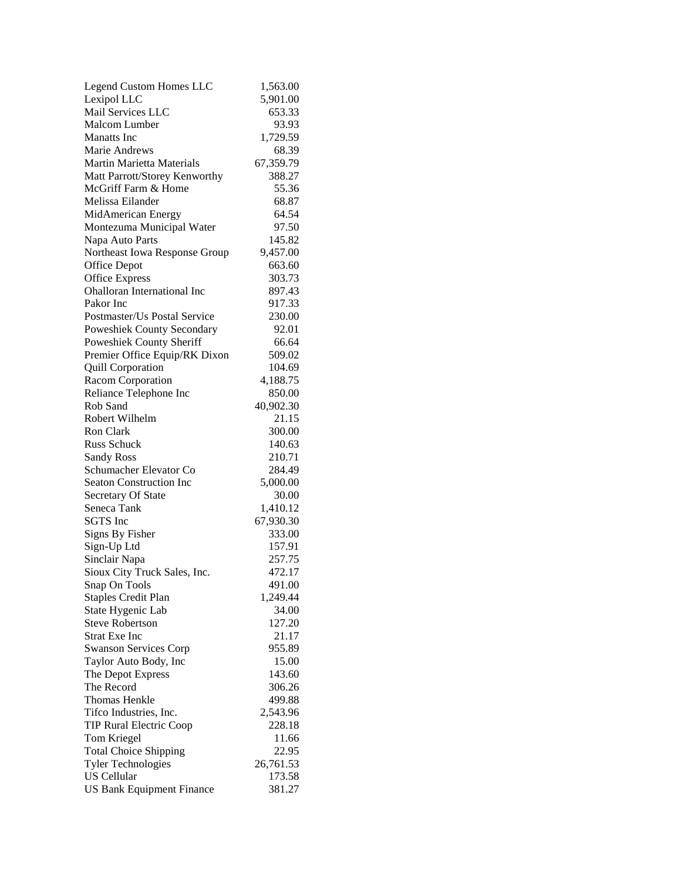| <b>Legend Custom Homes LLC</b>                 | 1,563.00  |
|------------------------------------------------|-----------|
| Lexipol LLC                                    | 5,901.00  |
| Mail Services LLC                              | 653.33    |
| <b>Malcom Lumber</b>                           | 93.93     |
| <b>Manatts</b> Inc.                            | 1,729.59  |
| Marie Andrews                                  | 68.39     |
| <b>Martin Marietta Materials</b>               | 67,359.79 |
| Matt Parrott/Storey Kenworthy                  | 388.27    |
| McGriff Farm & Home                            | 55.36     |
| Melissa Eilander                               | 68.87     |
| MidAmerican Energy                             | 64.54     |
| Montezuma Municipal Water                      | 97.50     |
| Napa Auto Parts                                | 145.82    |
| Northeast Iowa Response Group                  | 9,457.00  |
| Office Depot                                   | 663.60    |
| <b>Office Express</b>                          | 303.73    |
| <b>Ohalloran International Inc</b>             | 897.43    |
| Pakor Inc                                      | 917.33    |
| Postmaster/Us Postal Service                   | 230.00    |
| Poweshiek County Secondary                     | 92.01     |
| Poweshiek County Sheriff                       | 66.64     |
| Premier Office Equip/RK Dixon                  | 509.02    |
| <b>Quill Corporation</b>                       | 104.69    |
| Racom Corporation                              | 4,188.75  |
| Reliance Telephone Inc                         | 850.00    |
| Rob Sand                                       | 40,902.30 |
| Robert Wilhelm                                 | 21.15     |
| Ron Clark                                      | 300.00    |
| Russ Schuck                                    | 140.63    |
| <b>Sandy Ross</b>                              | 210.71    |
| Schumacher Elevator Co                         | 284.49    |
| <b>Seaton Construction Inc</b>                 | 5,000.00  |
| <b>Secretary Of State</b>                      | 30.00     |
| Seneca Tank                                    | 1,410.12  |
| <b>SGTS</b> Inc                                | 67,930.30 |
|                                                | 333.00    |
| Signs By Fisher                                |           |
| Sign-Up Ltd                                    | 157.91    |
| Sinclair Napa                                  | 257.75    |
| Sioux City Truck Sales, Inc.                   | 472.17    |
| Snap On Tools                                  | 491.00    |
| <b>Staples Credit Plan</b>                     | 1,249.44  |
| State Hygenic Lab                              | 34.00     |
| <b>Steve Robertson</b><br><b>Strat Exe Inc</b> | 127.20    |
|                                                | 21.17     |
| <b>Swanson Services Corp</b>                   | 955.89    |
| Taylor Auto Body, Inc                          | 15.00     |
| The Depot Express                              | 143.60    |
| The Record                                     | 306.26    |
| <b>Thomas Henkle</b>                           | 499.88    |
| Tifco Industries, Inc.                         | 2,543.96  |
| <b>TIP Rural Electric Coop</b>                 | 228.18    |
| Tom Kriegel                                    | 11.66     |
| <b>Total Choice Shipping</b>                   | 22.95     |
| <b>Tyler Technologies</b>                      | 26,761.53 |
| <b>US Cellular</b>                             | 173.58    |
| <b>US Bank Equipment Finance</b>               | 381.27    |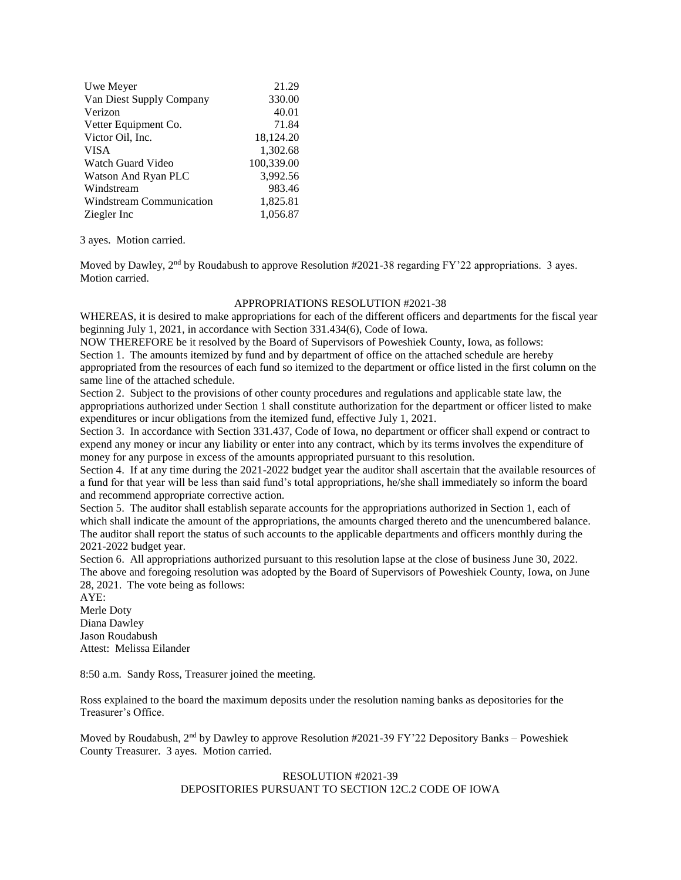| Uwe Meyer                | 21.29      |
|--------------------------|------------|
| Van Diest Supply Company | 330.00     |
| Verizon                  | 40.01      |
| Vetter Equipment Co.     | 71.84      |
| Victor Oil, Inc.         | 18,124.20  |
| <b>VISA</b>              | 1,302.68   |
| Watch Guard Video        | 100,339.00 |
| Watson And Ryan PLC      | 3,992.56   |
| Windstream               | 983.46     |
| Windstream Communication | 1,825.81   |
| Ziegler Inc              | 1,056.87   |

3 ayes. Motion carried.

Moved by Dawley,  $2<sup>nd</sup>$  by Roudabush to approve Resolution #2021-38 regarding FY'22 appropriations. 3 ayes. Motion carried.

## APPROPRIATIONS RESOLUTION #2021-38

WHEREAS, it is desired to make appropriations for each of the different officers and departments for the fiscal year beginning July 1, 2021, in accordance with Section 331.434(6), Code of Iowa.

NOW THEREFORE be it resolved by the Board of Supervisors of Poweshiek County, Iowa, as follows:

Section 1. The amounts itemized by fund and by department of office on the attached schedule are hereby appropriated from the resources of each fund so itemized to the department or office listed in the first column on the same line of the attached schedule.

Section 2. Subject to the provisions of other county procedures and regulations and applicable state law, the appropriations authorized under Section 1 shall constitute authorization for the department or officer listed to make expenditures or incur obligations from the itemized fund, effective July 1, 2021.

Section 3. In accordance with Section 331.437, Code of Iowa, no department or officer shall expend or contract to expend any money or incur any liability or enter into any contract, which by its terms involves the expenditure of money for any purpose in excess of the amounts appropriated pursuant to this resolution.

Section 4. If at any time during the 2021-2022 budget year the auditor shall ascertain that the available resources of a fund for that year will be less than said fund's total appropriations, he/she shall immediately so inform the board and recommend appropriate corrective action.

Section 5. The auditor shall establish separate accounts for the appropriations authorized in Section 1, each of which shall indicate the amount of the appropriations, the amounts charged thereto and the unencumbered balance. The auditor shall report the status of such accounts to the applicable departments and officers monthly during the 2021-2022 budget year.

Section 6. All appropriations authorized pursuant to this resolution lapse at the close of business June 30, 2022. The above and foregoing resolution was adopted by the Board of Supervisors of Poweshiek County, Iowa, on June 28, 2021. The vote being as follows:

AYE: Merle Doty Diana Dawley Jason Roudabush Attest: Melissa Eilander

8:50 a.m. Sandy Ross, Treasurer joined the meeting.

Ross explained to the board the maximum deposits under the resolution naming banks as depositories for the Treasurer's Office.

Moved by Roudabush,  $2<sup>nd</sup>$  by Dawley to approve Resolution #2021-39 FY'22 Depository Banks – Poweshiek County Treasurer. 3 ayes. Motion carried.

## RESOLUTION #2021-39 DEPOSITORIES PURSUANT TO SECTION 12C.2 CODE OF IOWA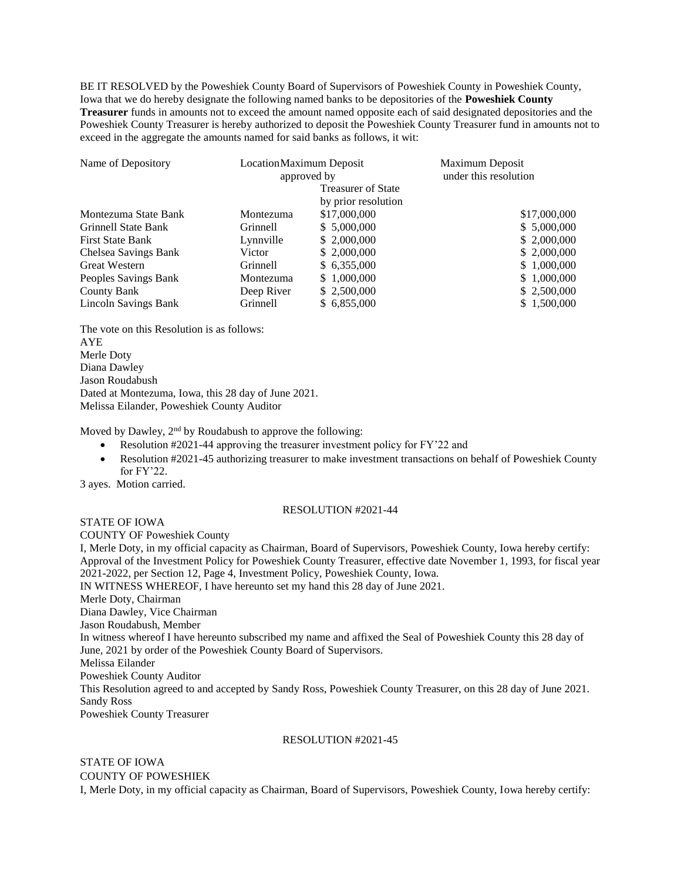BE IT RESOLVED by the Poweshiek County Board of Supervisors of Poweshiek County in Poweshiek County, Iowa that we do hereby designate the following named banks to be depositories of the **Poweshiek County Treasurer** funds in amounts not to exceed the amount named opposite each of said designated depositories and the Poweshiek County Treasurer is hereby authorized to deposit the Poweshiek County Treasurer fund in amounts not to exceed in the aggregate the amounts named for said banks as follows, it wit:

| Name of Depository         | Location Maximum Deposit<br>approved by |                           | Maximum Deposit       |
|----------------------------|-----------------------------------------|---------------------------|-----------------------|
|                            |                                         |                           | under this resolution |
|                            |                                         | <b>Treasurer of State</b> |                       |
|                            |                                         | by prior resolution       |                       |
| Montezuma State Bank       | Montezuma                               | \$17,000,000              | \$17,000,000          |
| <b>Grinnell State Bank</b> | <b>Grinnell</b>                         | \$ 5,000,000              | \$5,000,000           |
| <b>First State Bank</b>    | Lynnville                               | \$ 2,000,000              | \$2,000,000           |
| Chelsea Savings Bank       | Victor                                  | \$ 2,000,000              | \$2,000,000           |
| <b>Great Western</b>       | <b>Grinnell</b>                         | \$6,355,000               | \$1,000,000           |
| Peoples Savings Bank       | Montezuma                               | \$1,000,000               | \$1,000,000           |
| County Bank                | Deep River                              | \$2,500,000               | \$2,500,000           |
| Lincoln Savings Bank       | Grinnell                                | \$ 6,855,000              | \$1,500,000           |

The vote on this Resolution is as follows: AYE Merle Doty Diana Dawley Jason Roudabush Dated at Montezuma, Iowa, this 28 day of June 2021. Melissa Eilander, Poweshiek County Auditor

Moved by Dawley,  $2<sup>nd</sup>$  by Roudabush to approve the following:

- Resolution #2021-44 approving the treasurer investment policy for FY'22 and
- Resolution #2021-45 authorizing treasurer to make investment transactions on behalf of Poweshiek County for FY'22.

3 ayes. Motion carried.

## RESOLUTION #2021-44

STATE OF IOWA COUNTY OF Poweshiek County I, Merle Doty, in my official capacity as Chairman, Board of Supervisors, Poweshiek County, Iowa hereby certify: Approval of the Investment Policy for Poweshiek County Treasurer, effective date November 1, 1993, for fiscal year 2021-2022, per Section 12, Page 4, Investment Policy, Poweshiek County, Iowa. IN WITNESS WHEREOF, I have hereunto set my hand this 28 day of June 2021. Merle Doty, Chairman Diana Dawley, Vice Chairman Jason Roudabush, Member In witness whereof I have hereunto subscribed my name and affixed the Seal of Poweshiek County this 28 day of June, 2021 by order of the Poweshiek County Board of Supervisors. Melissa Eilander Poweshiek County Auditor This Resolution agreed to and accepted by Sandy Ross, Poweshiek County Treasurer, on this 28 day of June 2021. Sandy Ross Poweshiek County Treasurer

## RESOLUTION #2021-45

## STATE OF IOWA COUNTY OF POWESHIEK

I, Merle Doty, in my official capacity as Chairman, Board of Supervisors, Poweshiek County, Iowa hereby certify: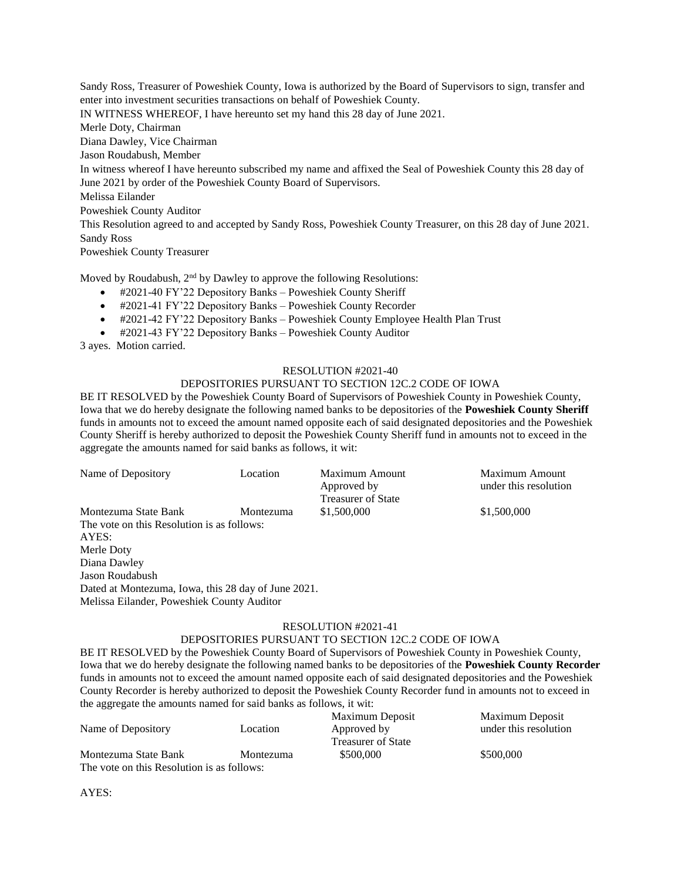Sandy Ross, Treasurer of Poweshiek County, Iowa is authorized by the Board of Supervisors to sign, transfer and enter into investment securities transactions on behalf of Poweshiek County. IN WITNESS WHEREOF, I have hereunto set my hand this 28 day of June 2021. Merle Doty, Chairman Diana Dawley, Vice Chairman Jason Roudabush, Member In witness whereof I have hereunto subscribed my name and affixed the Seal of Poweshiek County this 28 day of June 2021 by order of the Poweshiek County Board of Supervisors. Melissa Eilander Poweshiek County Auditor This Resolution agreed to and accepted by Sandy Ross, Poweshiek County Treasurer, on this 28 day of June 2021. Sandy Ross Poweshiek County Treasurer

Moved by Roudabush, 2<sup>nd</sup> by Dawley to approve the following Resolutions:

- #2021-40 FY'22 Depository Banks Poweshiek County Sheriff
- #2021-41 FY'22 Depository Banks Poweshiek County Recorder
- #2021-42 FY'22 Depository Banks Poweshiek County Employee Health Plan Trust
- #2021-43 FY'22 Depository Banks Poweshiek County Auditor

3 ayes. Motion carried.

Melissa Eilander, Poweshiek County Auditor

## RESOLUTION #2021-40

## DEPOSITORIES PURSUANT TO SECTION 12C.2 CODE OF IOWA

BE IT RESOLVED by the Poweshiek County Board of Supervisors of Poweshiek County in Poweshiek County, Iowa that we do hereby designate the following named banks to be depositories of the **Poweshiek County Sheriff**  funds in amounts not to exceed the amount named opposite each of said designated depositories and the Poweshiek County Sheriff is hereby authorized to deposit the Poweshiek County Sheriff fund in amounts not to exceed in the aggregate the amounts named for said banks as follows, it wit:

| Name of Depository                                  | Location  | Maximum Amount<br>Approved by<br><b>Treasurer of State</b> | Maximum Amount<br>under this resolution |
|-----------------------------------------------------|-----------|------------------------------------------------------------|-----------------------------------------|
| Montezuma State Bank                                | Montezuma | \$1,500,000                                                | \$1,500,000                             |
| The vote on this Resolution is as follows:          |           |                                                            |                                         |
| AYES:                                               |           |                                                            |                                         |
| Merle Doty                                          |           |                                                            |                                         |
| Diana Dawley                                        |           |                                                            |                                         |
| Jason Roudabush                                     |           |                                                            |                                         |
| Dated at Montezuma, Iowa, this 28 day of June 2021. |           |                                                            |                                         |

#### RESOLUTION #2021-41

## DEPOSITORIES PURSUANT TO SECTION 12C.2 CODE OF IOWA

BE IT RESOLVED by the Poweshiek County Board of Supervisors of Poweshiek County in Poweshiek County, Iowa that we do hereby designate the following named banks to be depositories of the **Poweshiek County Recorder**  funds in amounts not to exceed the amount named opposite each of said designated depositories and the Poweshiek County Recorder is hereby authorized to deposit the Poweshiek County Recorder fund in amounts not to exceed in the aggregate the amounts named for said banks as follows, it wit:

|                                            |           | Maximum Deposit    | Maximum Deposit       |
|--------------------------------------------|-----------|--------------------|-----------------------|
| Name of Depository                         | Location  | Approved by        | under this resolution |
|                                            |           | Treasurer of State |                       |
| Montezuma State Bank                       | Montezuma | \$500,000          | \$500,000             |
| The vote on this Resolution is as follows: |           |                    |                       |

AYES: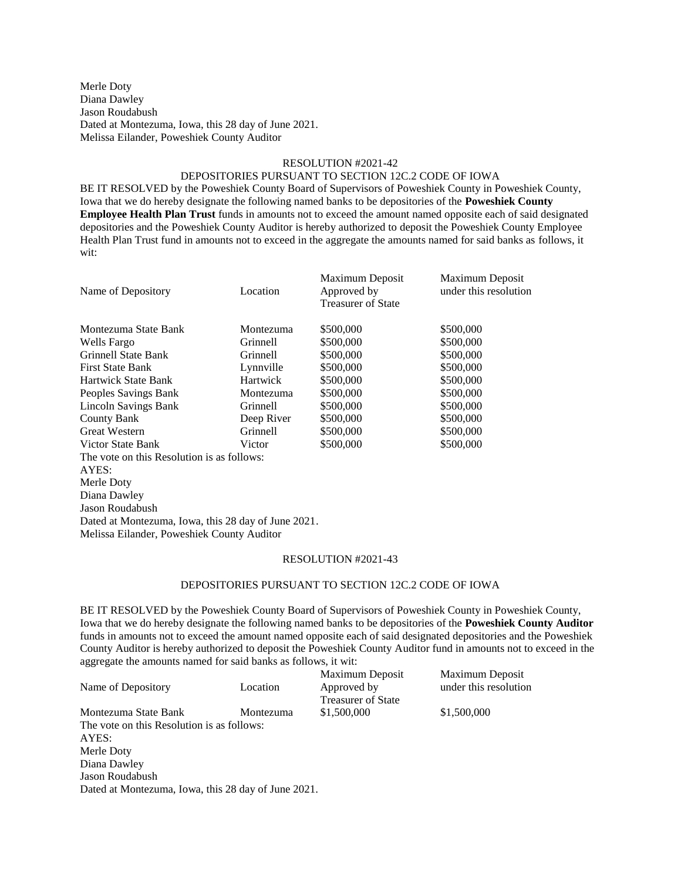Merle Doty Diana Dawley Jason Roudabush Dated at Montezuma, Iowa, this 28 day of June 2021. Melissa Eilander, Poweshiek County Auditor

#### RESOLUTION #2021-42

#### DEPOSITORIES PURSUANT TO SECTION 12C.2 CODE OF IOWA

BE IT RESOLVED by the Poweshiek County Board of Supervisors of Poweshiek County in Poweshiek County, Iowa that we do hereby designate the following named banks to be depositories of the **Poweshiek County Employee Health Plan Trust** funds in amounts not to exceed the amount named opposite each of said designated depositories and the Poweshiek County Auditor is hereby authorized to deposit the Poweshiek County Employee Health Plan Trust fund in amounts not to exceed in the aggregate the amounts named for said banks as follows, it wit:

| Name of Depository                                  | Location        | Maximum Deposit<br>Approved by | Maximum Deposit<br>under this resolution |
|-----------------------------------------------------|-----------------|--------------------------------|------------------------------------------|
|                                                     |                 | <b>Treasurer of State</b>      |                                          |
| Montezuma State Bank                                | Montezuma       | \$500,000                      | \$500,000                                |
| Wells Fargo                                         | <b>Grinnell</b> | \$500,000                      | \$500,000                                |
| <b>Grinnell State Bank</b>                          | <b>Grinnell</b> | \$500,000                      | \$500,000                                |
| <b>First State Bank</b>                             | Lynnville       | \$500,000                      | \$500,000                                |
| <b>Hartwick State Bank</b>                          | Hartwick        | \$500,000                      | \$500,000                                |
| Peoples Savings Bank                                | Montezuma       | \$500,000                      | \$500,000                                |
| Lincoln Savings Bank                                | <b>Grinnell</b> | \$500,000                      | \$500,000                                |
| <b>County Bank</b>                                  | Deep River      | \$500,000                      | \$500,000                                |
| <b>Great Western</b>                                | <b>Grinnell</b> | \$500,000                      | \$500,000                                |
| Victor State Bank                                   | Victor          | \$500,000                      | \$500,000                                |
| The vote on this Resolution is as follows:          |                 |                                |                                          |
| AYES:                                               |                 |                                |                                          |
| Merle Doty                                          |                 |                                |                                          |
| Diana Dawley                                        |                 |                                |                                          |
| Jason Roudabush                                     |                 |                                |                                          |
| Dated at Montezuma, Iowa, this 28 day of June 2021. |                 |                                |                                          |
| Melissa Eilander, Poweshiek County Auditor          |                 |                                |                                          |

## RESOLUTION #2021-43

## DEPOSITORIES PURSUANT TO SECTION 12C.2 CODE OF IOWA

BE IT RESOLVED by the Poweshiek County Board of Supervisors of Poweshiek County in Poweshiek County, Iowa that we do hereby designate the following named banks to be depositories of the **Poweshiek County Auditor**  funds in amounts not to exceed the amount named opposite each of said designated depositories and the Poweshiek County Auditor is hereby authorized to deposit the Poweshiek County Auditor fund in amounts not to exceed in the aggregate the amounts named for said banks as follows, it wit:

|                                            |           | Maximum Deposit           | Maximum Deposit       |
|--------------------------------------------|-----------|---------------------------|-----------------------|
| Name of Depository                         | Location  | Approved by               | under this resolution |
|                                            |           | <b>Treasurer of State</b> |                       |
| Montezuma State Bank                       | Montezuma | \$1,500,000               | \$1,500,000           |
| The vote on this Resolution is as follows: |           |                           |                       |
| AYES:                                      |           |                           |                       |
| Merle Doty                                 |           |                           |                       |
| Diana Dawley                               |           |                           |                       |

Jason Roudabush

Dated at Montezuma, Iowa, this 28 day of June 2021.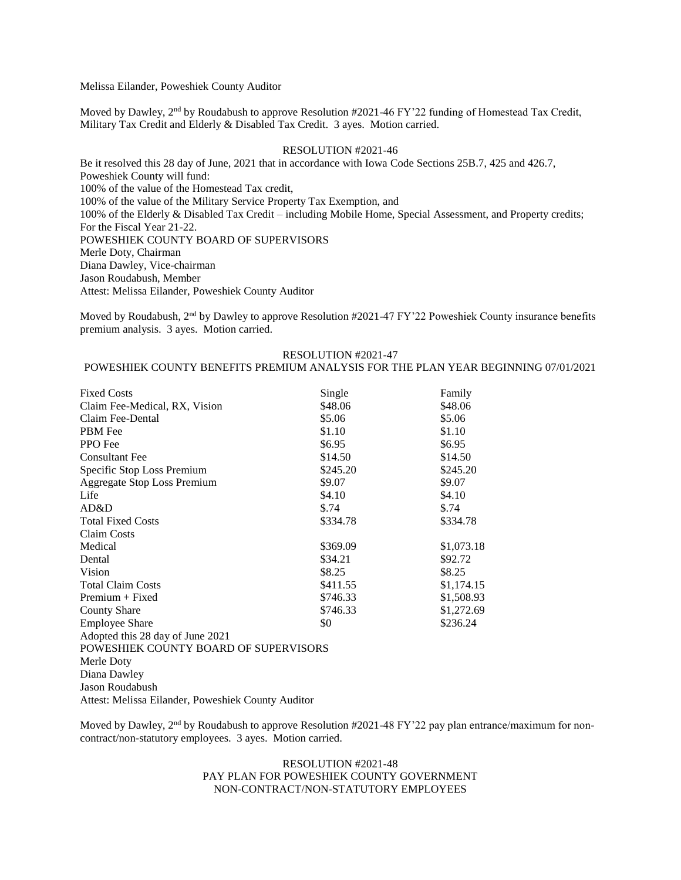Melissa Eilander, Poweshiek County Auditor

Moved by Dawley, 2<sup>nd</sup> by Roudabush to approve Resolution #2021-46 FY'22 funding of Homestead Tax Credit, Military Tax Credit and Elderly & Disabled Tax Credit. 3 ayes. Motion carried.

### RESOLUTION #2021-46

Be it resolved this 28 day of June, 2021 that in accordance with Iowa Code Sections 25B.7, 425 and 426.7, Poweshiek County will fund: 100% of the value of the Homestead Tax credit, 100% of the value of the Military Service Property Tax Exemption, and 100% of the Elderly & Disabled Tax Credit – including Mobile Home, Special Assessment, and Property credits; For the Fiscal Year 21-22. POWESHIEK COUNTY BOARD OF SUPERVISORS Merle Doty, Chairman Diana Dawley, Vice-chairman Jason Roudabush, Member Attest: Melissa Eilander, Poweshiek County Auditor

Moved by Roudabush,  $2<sup>nd</sup>$  by Dawley to approve Resolution #2021-47 FY'22 Poweshiek County insurance benefits premium analysis. 3 ayes. Motion carried.

#### RESOLUTION #2021-47

# POWESHIEK COUNTY BENEFITS PREMIUM ANALYSIS FOR THE PLAN YEAR BEGINNING 07/01/2021

| <b>Fixed Costs</b>                    | Single   | Family     |
|---------------------------------------|----------|------------|
| Claim Fee-Medical, RX, Vision         | \$48.06  | \$48.06    |
| Claim Fee-Dental                      | \$5.06   | \$5.06     |
| PBM Fee                               | \$1.10   | \$1.10     |
| PPO Fee                               | \$6.95   | \$6.95     |
| <b>Consultant Fee</b>                 | \$14.50  | \$14.50    |
| Specific Stop Loss Premium            | \$245.20 | \$245.20   |
| <b>Aggregate Stop Loss Premium</b>    | \$9.07   | \$9.07     |
| Life                                  | \$4.10   | \$4.10     |
| AD&D                                  | $\$.74$  | \$.74      |
| <b>Total Fixed Costs</b>              | \$334.78 | \$334.78   |
| <b>Claim Costs</b>                    |          |            |
| Medical                               | \$369.09 | \$1,073.18 |
| Dental                                | \$34.21  | \$92.72    |
| Vision                                | \$8.25   | \$8.25     |
| <b>Total Claim Costs</b>              | \$411.55 | \$1,174.15 |
| $Premium + Fixed$                     | \$746.33 | \$1,508.93 |
| <b>County Share</b>                   | \$746.33 | \$1,272.69 |
| <b>Employee Share</b>                 | \$0      | \$236.24   |
| Adopted this 28 day of June 2021      |          |            |
| POWESHIEK COUNTY BOARD OF SUPERVISORS |          |            |
| Merle Doty                            |          |            |
| Diana Dawley                          |          |            |
| Jason Roudabush                       |          |            |

Attest: Melissa Eilander, Poweshiek County Auditor

Moved by Dawley,  $2<sup>nd</sup>$  by Roudabush to approve Resolution #2021-48 FY'22 pay plan entrance/maximum for noncontract/non-statutory employees. 3 ayes. Motion carried.

## RESOLUTION #2021-48 PAY PLAN FOR POWESHIEK COUNTY GOVERNMENT NON-CONTRACT/NON-STATUTORY EMPLOYEES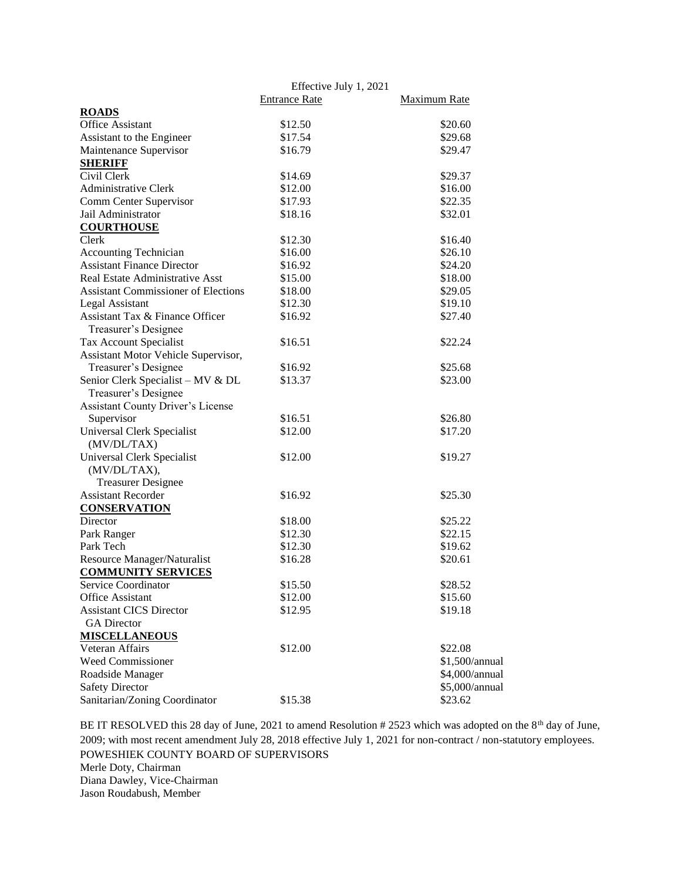|                                            | Effective July 1, 2021 |                |
|--------------------------------------------|------------------------|----------------|
|                                            | <b>Entrance Rate</b>   | Maximum Rate   |
| <b>ROADS</b>                               |                        |                |
| <b>Office Assistant</b>                    | \$12.50                | \$20.60        |
| Assistant to the Engineer                  | \$17.54                | \$29.68        |
| Maintenance Supervisor                     | \$16.79                | \$29.47        |
| <b>SHERIFF</b>                             |                        |                |
| Civil Clerk                                | \$14.69                | \$29.37        |
| Administrative Clerk                       | \$12.00                | \$16.00        |
| Comm Center Supervisor                     | \$17.93                | \$22.35        |
| Jail Administrator                         | \$18.16                | \$32.01        |
| <b>COURTHOUSE</b>                          |                        |                |
| Clerk                                      | \$12.30                | \$16.40        |
| <b>Accounting Technician</b>               | \$16.00                | \$26.10        |
| <b>Assistant Finance Director</b>          | \$16.92                | \$24.20        |
| Real Estate Administrative Asst            | \$15.00                | \$18.00        |
| <b>Assistant Commissioner of Elections</b> | \$18.00                | \$29.05        |
| Legal Assistant                            | \$12.30                | \$19.10        |
| Assistant Tax & Finance Officer            | \$16.92                | \$27.40        |
| Treasurer's Designee                       |                        |                |
| Tax Account Specialist                     | \$16.51                | \$22.24        |
| Assistant Motor Vehicle Supervisor,        |                        |                |
| Treasurer's Designee                       | \$16.92                | \$25.68        |
| Senior Clerk Specialist - MV & DL          | \$13.37                | \$23.00        |
| Treasurer's Designee                       |                        |                |
| Assistant County Driver's License          |                        |                |
| Supervisor                                 | \$16.51                | \$26.80        |
| Universal Clerk Specialist                 | \$12.00                | \$17.20        |
| (MV/DL/TAX)                                |                        |                |
| Universal Clerk Specialist                 | \$12.00                | \$19.27        |
| (MV/DL/TAX),                               |                        |                |
| <b>Treasurer Designee</b>                  |                        |                |
| <b>Assistant Recorder</b>                  | \$16.92                | \$25.30        |
| <b>CONSERVATION</b>                        |                        |                |
| Director                                   | \$18.00                | \$25.22        |
| Park Ranger                                | \$12.30                | \$22.15        |
| Park Tech                                  | \$12.30                | \$19.62        |
| Resource Manager/Naturalist                | \$16.28                | \$20.61        |
| <b>COMMUNITY SERVICES</b>                  |                        |                |
| Service Coordinator                        | \$15.50                | \$28.52        |
| Office Assistant                           | \$12.00                | \$15.60        |
| <b>Assistant CICS Director</b>             | \$12.95                | \$19.18        |
| <b>GA</b> Director                         |                        |                |
| <b>MISCELLANEOUS</b>                       |                        |                |
| Veteran Affairs                            | \$12.00                | \$22.08        |
| Weed Commissioner                          |                        | \$1,500/annual |
| Roadside Manager                           |                        | \$4,000/annual |
| <b>Safety Director</b>                     |                        | \$5,000/annual |
| Sanitarian/Zoning Coordinator              | \$15.38                | \$23.62        |

BE IT RESOLVED this 28 day of June, 2021 to amend Resolution # 2523 which was adopted on the 8<sup>th</sup> day of June, 2009; with most recent amendment July 28, 2018 effective July 1, 2021 for non-contract / non-statutory employees. POWESHIEK COUNTY BOARD OF SUPERVISORS Merle Doty, Chairman Diana Dawley, Vice-Chairman Jason Roudabush, Member